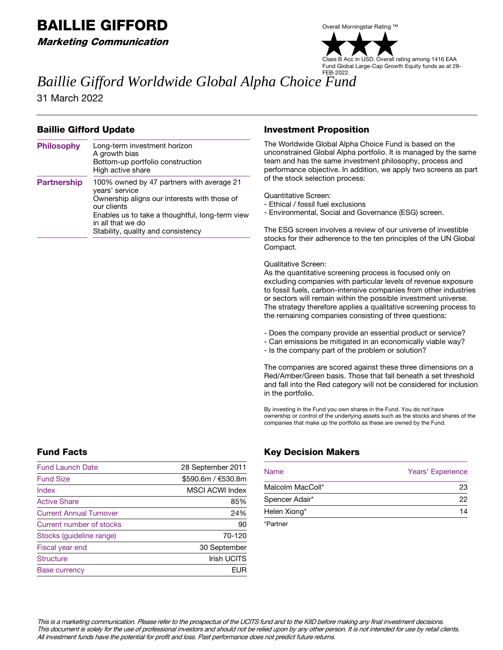# BAILLIE GIFFORD

Marketing Communication



Acc in USD. Overall rating among 1416 EAA Fund Global Large-Cap Growth Equity funds as at 28- FEB-2022.

# *Baillie Gifford Worldwide Global Alpha Choice Fund*

31 March 2022

# Baillie Gifford Update

| <b>Philosophy</b>  | Long-term investment horizon<br>A growth bias<br>Bottom-up portfolio construction<br>High active share                                                                                             |
|--------------------|----------------------------------------------------------------------------------------------------------------------------------------------------------------------------------------------------|
| <b>Partnership</b> | 100% owned by 47 partners with average 21<br>years' service<br>Ownership aligns our interests with those of<br>our clients<br>Enables us to take a thoughtful, long-term view<br>in all that we do |
|                    | Stability, quality and consistency                                                                                                                                                                 |

### Investment Proposition

The Worldwide Global Alpha Choice Fund is based on the unconstrained Global Alpha portfolio. It is managed by the same team and has the same investment philosophy, process and performance objective. In addition, we apply two screens as part of the stock selection process:

Quantitative Screen:

- Ethical / fossil fuel exclusions
- Environmental, Social and Governance (ESG) screen.

The ESG screen involves a review of our universe of investible stocks for their adherence to the ten principles of the UN Global Compact.

#### Qualitative Screen:

As the quantitative screening process is focused only on excluding companies with particular levels of revenue exposure to fossil fuels, carbon-intensive companies from other industries or sectors will remain within the possible investment universe. The strategy therefore applies a qualitative screening process to the remaining companies consisting of three questions:

- Does the company provide an essential product or service?
- Can emissions be mitigated in an economically viable way?
- Is the company part of the problem or solution?

The companies are scored against these three dimensions on a Red/Amber/Green basis. Those that fall beneath a set threshold and fall into the Red category will not be considered for inclusion in the portfolio.

By investing in the Fund you own shares in the Fund. You do not have ownership or control of the underlying assets such as the stocks and shares of the companies that make up the portfolio as these are owned by the Fund.

# Fund Facts

| <b>Fund Launch Date</b>        | 28 September 2011      |
|--------------------------------|------------------------|
| <b>Fund Size</b>               | \$590.6m / €530.8m     |
| <b>Index</b>                   | <b>MSCI ACWI Index</b> |
| <b>Active Share</b>            | 85%                    |
| <b>Current Annual Turnover</b> | 24%                    |
| Current number of stocks       | 90                     |
| Stocks (guideline range)       | 70-120                 |
| Fiscal year end                | 30 September           |
| <b>Structure</b>               | <b>Irish UCITS</b>     |
| <b>Base currency</b>           | FUR                    |

# Key Decision Makers

| <b>Name</b>      | Years' Experience |
|------------------|-------------------|
| Malcolm MacColl* | 23                |
| Spencer Adair*   | 22                |
| Helen Xiong*     | 14                |

\*Partner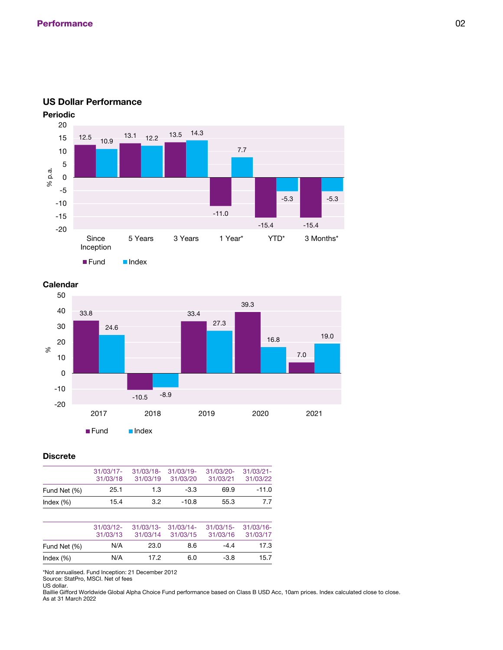

### **US Dollar Performance**





### **Discrete**

|              | $31/03/17$ - | $31/03/18$ - | $31/03/19$ - | 31/03/20- | $31/03/21 -$ |
|--------------|--------------|--------------|--------------|-----------|--------------|
|              | 31/03/18     | 31/03/19     | 31/03/20     | 31/03/21  | 31/03/22     |
| Fund Net (%) | 25.1         | 1.3          | $-3.3$       | 69.9      | $-11.0$      |
| Index $(\%)$ | 15.4         | 32           | $-10.8$      | 55.3      | 7.7          |

|              | $31/03/12$ -<br>31/03/13 | $31/03/13 - 31/03/14$<br>31/03/14 | 31/03/15 | $31/03/15$ -<br>31/03/16 | $31/03/16$ -<br>31/03/17 |
|--------------|--------------------------|-----------------------------------|----------|--------------------------|--------------------------|
| Fund Net (%) | N/A                      | 23.0                              | 8.6      | $-44$                    | 17.3                     |
| Index $(\%)$ | N/A                      | 17.2                              | 6.0      | $-3.8$                   | 15.7                     |

\*Not annualised. Fund Inception: 21 December 2012

Source: StatPro, MSCI. Net of fees

US dollar. Baillie Gifford Worldwide Global Alpha Choice Fund performance based on Class B USD Acc, 10am prices. Index calculated close to close. As at 31 March 2022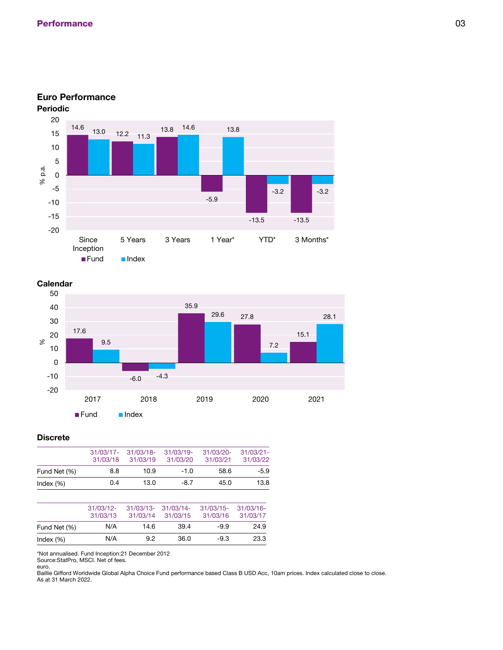

## **Euro Performance**



### **Discrete**

|              | 31/03/18 | 31/03/17- 31/03/18-<br>31/03/19 | $31/03/19$ -<br>31/03/20 | $31/03/20 -$<br>31/03/21 | $31/03/21 -$<br>31/03/22 |
|--------------|----------|---------------------------------|--------------------------|--------------------------|--------------------------|
| Fund Net (%) | 8.8      | 10.9                            | $-1.0$                   | 58.6                     | $-5.9$                   |
| Index $(\%)$ | 0.4      | 13.0                            | $-8.7$                   | 45.0                     | 13.8                     |

|              | $31/03/12$ -<br>31/03/13 | 31/03/13- 31/03/14-<br>31/03/14 | 31/03/15 | $31/03/15$ -<br>31/03/16 | 31/03/16-<br>31/03/17 |
|--------------|--------------------------|---------------------------------|----------|--------------------------|-----------------------|
| Fund Net (%) | N/A                      | 14.6                            | 39.4     | $-9.9$                   | 24.9                  |
| Index $(\%)$ | N/A                      | 9.2                             | 36.0     | $-9.3$                   | 23.3                  |

\*Not annualised. Fund Inception:21 December 2012

Source:StatPro, MSCI. Net of fees.

euro.

Baillie Gifford Worldwide Global Alpha Choice Fund performance based Class B USD Acc, 10am prices. Index calculated close to close. As at 31 March 2022.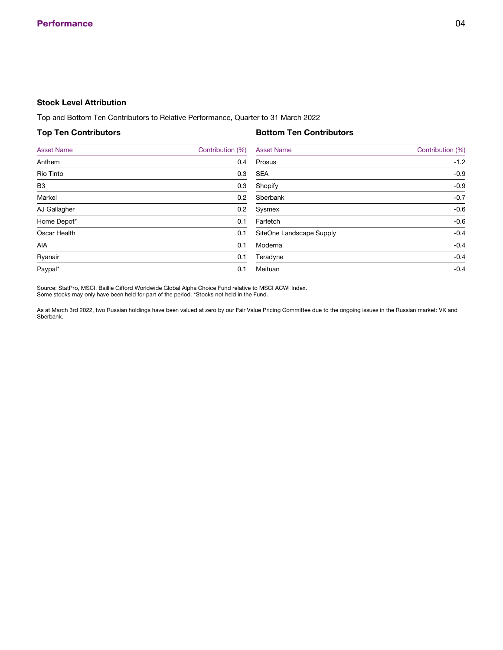### **Stock Level Attribution**

Top and Bottom Ten Contributors to Relative Performance, Quarter to 31 March 2022

### **Top Ten Contributors**

### **Bottom Ten Contributors**

| <b>Asset Name</b>   | Contribution (%) | <b>Asset Name</b>        | Contribution (%) |
|---------------------|------------------|--------------------------|------------------|
| Anthem              | 0.4              | Prosus                   | $-1.2$           |
| <b>Rio Tinto</b>    | 0.3              | <b>SEA</b>               | $-0.9$           |
| <b>B3</b>           | 0.3              | Shopify                  | $-0.9$           |
| Markel              | 0.2              | Sberbank                 | $-0.7$           |
| AJ Gallagher        | 0.2              | Sysmex                   | $-0.6$           |
| Home Depot*         | 0.1              | Farfetch                 | $-0.6$           |
| <b>Oscar Health</b> | 0.1              | SiteOne Landscape Supply | $-0.4$           |
| <b>AIA</b>          | 0.1              | Moderna                  | $-0.4$           |
| Ryanair             | 0.1              | Teradyne                 | $-0.4$           |
| Paypal*             | 0.1              | Meituan                  | $-0.4$           |
|                     |                  |                          |                  |

Source: StatPro, MSCI. Baillie Gifford Worldwide Global Alpha Choice Fund relative to MSCI ACWI Index. Some stocks may only have been held for part of the period. \*Stocks not held in the Fund.

As at March 3rd 2022, two Russian holdings have been valued at zero by our Fair Value Pricing Committee due to the ongoing issues in the Russian market: VK and Sberbank.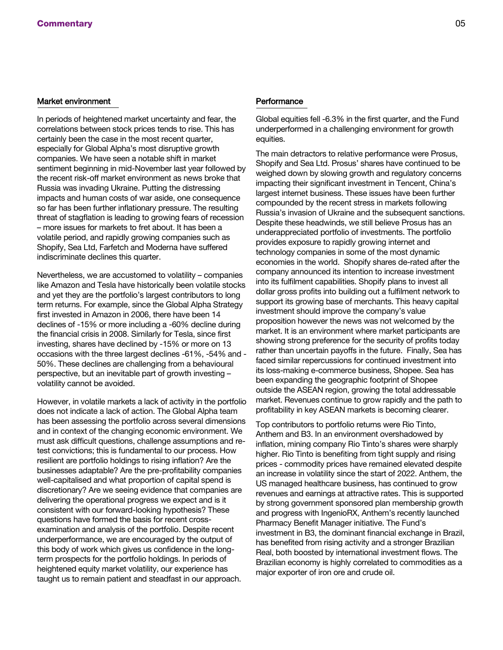#### Market environment

In periods of heightened market uncertainty and fear, the correlations between stock prices tends to rise. This has certainly been the case in the most recent quarter, especially for Global Alpha's most disruptive growth companies. We have seen a notable shift in market sentiment beginning in mid-November last year followed by the recent risk-off market environment as news broke that Russia was invading Ukraine. Putting the distressing impacts and human costs of war aside, one consequence so far has been further inflationary pressure. The resulting threat of stagflation is leading to growing fears of recession – more issues for markets to fret about. It has been a volatile period, and rapidly growing companies such as Shopify, Sea Ltd, Farfetch and Moderna have suffered indiscriminate declines this quarter.

Nevertheless, we are accustomed to volatility – companies like Amazon and Tesla have historically been volatile stocks and yet they are the portfolio's largest contributors to long term returns. For example, since the Global Alpha Strategy first invested in Amazon in 2006, there have been 14 declines of -15% or more including a -60% decline during the financial crisis in 2008. Similarly for Tesla, since first investing, shares have declined by -15% or more on 13 occasions with the three largest declines -61%, -54% and - 50%. These declines are challenging from a behavioural perspective, but an inevitable part of growth investing – volatility cannot be avoided.

However, in volatile markets a lack of activity in the portfolio does not indicate a lack of action. The Global Alpha team has been assessing the portfolio across several dimensions and in context of the changing economic environment. We must ask difficult questions, challenge assumptions and retest convictions; this is fundamental to our process. How resilient are portfolio holdings to rising inflation? Are the businesses adaptable? Are the pre-profitability companies well-capitalised and what proportion of capital spend is discretionary? Are we seeing evidence that companies are delivering the operational progress we expect and is it consistent with our forward-looking hypothesis? These questions have formed the basis for recent crossexamination and analysis of the portfolio. Despite recent underperformance, we are encouraged by the output of this body of work which gives us confidence in the longterm prospects for the portfolio holdings. In periods of heightened equity market volatility, our experience has taught us to remain patient and steadfast in our approach.

#### **Performance**

Global equities fell -6.3% in the first quarter, and the Fund underperformed in a challenging environment for growth equities.

The main detractors to relative performance were Prosus, Shopify and Sea Ltd. Prosus' shares have continued to be weighed down by slowing growth and regulatory concerns impacting their significant investment in Tencent, China's largest internet business. These issues have been further compounded by the recent stress in markets following Russia's invasion of Ukraine and the subsequent sanctions. Despite these headwinds, we still believe Prosus has an underappreciated portfolio of investments. The portfolio provides exposure to rapidly growing internet and technology companies in some of the most dynamic economies in the world. Shopify shares de-rated after the company announced its intention to increase investment into its fulfilment capabilities. Shopify plans to invest all dollar gross profits into building out a fulfilment network to support its growing base of merchants. This heavy capital investment should improve the company's value proposition however the news was not welcomed by the market. It is an environment where market participants are showing strong preference for the security of profits today rather than uncertain payoffs in the future. Finally, Sea has faced similar repercussions for continued investment into its loss-making e-commerce business, Shopee. Sea has been expanding the geographic footprint of Shopee outside the ASEAN region, growing the total addressable market. Revenues continue to grow rapidly and the path to profitability in key ASEAN markets is becoming clearer.

Top contributors to portfolio returns were Rio Tinto, Anthem and B3. In an environment overshadowed by inflation, mining company Rio Tinto's shares were sharply higher. Rio Tinto is benefiting from tight supply and rising prices - commodity prices have remained elevated despite an increase in volatility since the start of 2022. Anthem, the US managed healthcare business, has continued to grow revenues and earnings at attractive rates. This is supported by strong government sponsored plan membership growth and progress with IngenioRX, Anthem's recently launched Pharmacy Benefit Manager initiative. The Fund's investment in B3, the dominant financial exchange in Brazil, has benefited from rising activity and a stronger Brazilian Real, both boosted by international investment flows. The Brazilian economy is highly correlated to commodities as a major exporter of iron ore and crude oil.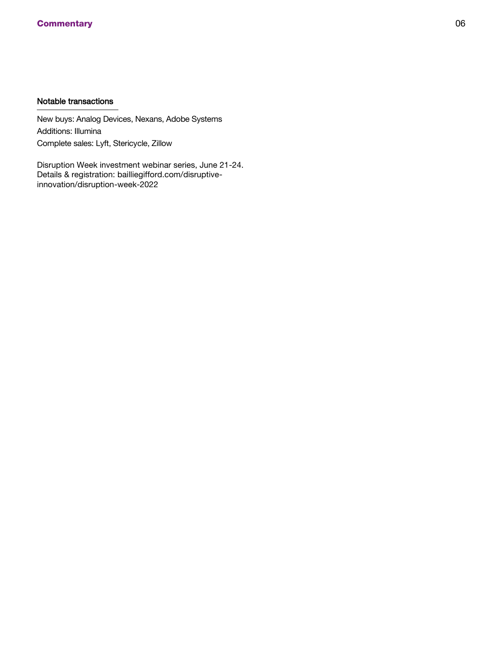# Notable transactions

New buys: Analog Devices, Nexans, Adobe Systems Additions: Illumina Complete sales: Lyft, Stericycle, Zillow

Disruption Week investment webinar series, June 21-24. Details & registration: bailliegifford.com/disruptiveinnovation/disruption-week-2022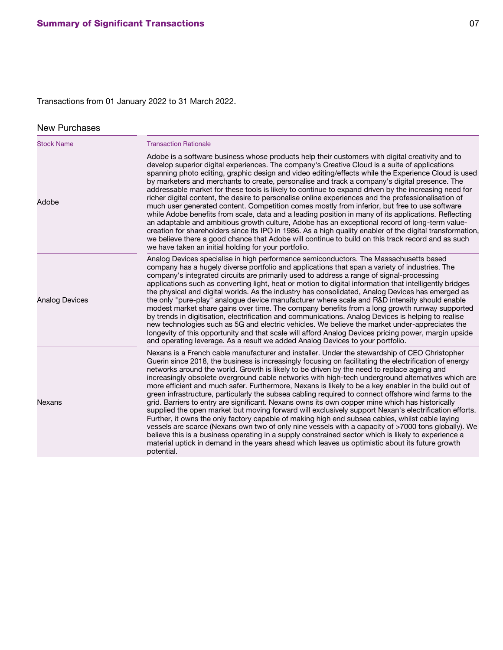# Transactions from 01 January 2022 to 31 March 2022.

# New Purchases

| <b>Stock Name</b>     | <b>Transaction Rationale</b>                                                                                                                                                                                                                                                                                                                                                                                                                                                                                                                                                                                                                                                                                                                                                                                                                                                                                                                                                                                                                                                                                                                                                                                                                                             |  |  |  |
|-----------------------|--------------------------------------------------------------------------------------------------------------------------------------------------------------------------------------------------------------------------------------------------------------------------------------------------------------------------------------------------------------------------------------------------------------------------------------------------------------------------------------------------------------------------------------------------------------------------------------------------------------------------------------------------------------------------------------------------------------------------------------------------------------------------------------------------------------------------------------------------------------------------------------------------------------------------------------------------------------------------------------------------------------------------------------------------------------------------------------------------------------------------------------------------------------------------------------------------------------------------------------------------------------------------|--|--|--|
| Adobe                 | Adobe is a software business whose products help their customers with digital creativity and to<br>develop superior digital experiences. The company's Creative Cloud is a suite of applications<br>spanning photo editing, graphic design and video editing/effects while the Experience Cloud is used<br>by marketers and merchants to create, personalise and track a company's digital presence. The<br>addressable market for these tools is likely to continue to expand driven by the increasing need for<br>richer digital content, the desire to personalise online experiences and the professionalisation of<br>much user generated content. Competition comes mostly from inferior, but free to use software<br>while Adobe benefits from scale, data and a leading position in many of its applications. Reflecting<br>an adaptable and ambitious growth culture, Adobe has an exceptional record of long-term value-<br>creation for shareholders since its IPO in 1986. As a high quality enabler of the digital transformation,<br>we believe there a good chance that Adobe will continue to build on this track record and as such<br>we have taken an initial holding for your portfolio.                                                             |  |  |  |
| <b>Analog Devices</b> | Analog Devices specialise in high performance semiconductors. The Massachusetts based<br>company has a hugely diverse portfolio and applications that span a variety of industries. The<br>company's integrated circuits are primarily used to address a range of signal-processing<br>applications such as converting light, heat or motion to digital information that intelligently bridges<br>the physical and digital worlds. As the industry has consolidated, Analog Devices has emerged as<br>the only "pure-play" analogue device manufacturer where scale and R&D intensity should enable<br>modest market share gains over time. The company benefits from a long growth runway supported<br>by trends in digitisation, electrification and communications. Analog Devices is helping to realise<br>new technologies such as 5G and electric vehicles. We believe the market under-appreciates the<br>longevity of this opportunity and that scale will afford Analog Devices pricing power, margin upside<br>and operating leverage. As a result we added Analog Devices to your portfolio.                                                                                                                                                                  |  |  |  |
| <b>Nexans</b>         | Nexans is a French cable manufacturer and installer. Under the stewardship of CEO Christopher<br>Guerin since 2018, the business is increasingly focusing on facilitating the electrification of energy<br>networks around the world. Growth is likely to be driven by the need to replace ageing and<br>increasingly obsolete overground cable networks with high-tech underground alternatives which are<br>more efficient and much safer. Furthermore, Nexans is likely to be a key enabler in the build out of<br>green infrastructure, particularly the subsea cabling required to connect offshore wind farms to the<br>grid. Barriers to entry are significant. Nexans owns its own copper mine which has historically<br>supplied the open market but moving forward will exclusively support Nexan's electrification efforts.<br>Further, it owns the only factory capable of making high end subsea cables, whilst cable laying<br>vessels are scarce (Nexans own two of only nine vessels with a capacity of >7000 tons globally). We<br>believe this is a business operating in a supply constrained sector which is likely to experience a<br>material uptick in demand in the years ahead which leaves us optimistic about its future growth<br>potential. |  |  |  |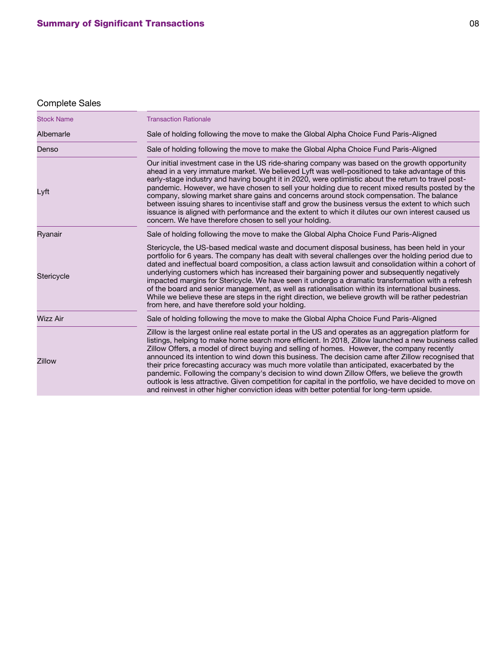# Complete Sales

| <b>Stock Name</b> | <b>Transaction Rationale</b>                                                                                                                                                                                                                                                                                                                                                                                                                                                                                                                                                                                                                                                                                                                                                                                              |
|-------------------|---------------------------------------------------------------------------------------------------------------------------------------------------------------------------------------------------------------------------------------------------------------------------------------------------------------------------------------------------------------------------------------------------------------------------------------------------------------------------------------------------------------------------------------------------------------------------------------------------------------------------------------------------------------------------------------------------------------------------------------------------------------------------------------------------------------------------|
| Albemarle         | Sale of holding following the move to make the Global Alpha Choice Fund Paris-Aligned                                                                                                                                                                                                                                                                                                                                                                                                                                                                                                                                                                                                                                                                                                                                     |
| Denso             | Sale of holding following the move to make the Global Alpha Choice Fund Paris-Aligned                                                                                                                                                                                                                                                                                                                                                                                                                                                                                                                                                                                                                                                                                                                                     |
| Lyft              | Our initial investment case in the US ride-sharing company was based on the growth opportunity<br>ahead in a very immature market. We believed Lyft was well-positioned to take advantage of this<br>early-stage industry and having bought it in 2020, were optimistic about the return to travel post-<br>pandemic. However, we have chosen to sell your holding due to recent mixed results posted by the<br>company, slowing market share gains and concerns around stock compensation. The balance<br>between issuing shares to incentivise staff and grow the business versus the extent to which such<br>issuance is aligned with performance and the extent to which it dilutes our own interest caused us<br>concern. We have therefore chosen to sell your holding.                                             |
| Ryanair           | Sale of holding following the move to make the Global Alpha Choice Fund Paris-Aligned                                                                                                                                                                                                                                                                                                                                                                                                                                                                                                                                                                                                                                                                                                                                     |
| Stericycle        | Stericycle, the US-based medical waste and document disposal business, has been held in your<br>portfolio for 6 years. The company has dealt with several challenges over the holding period due to<br>dated and ineffectual board composition, a class action lawsuit and consolidation within a cohort of<br>underlying customers which has increased their bargaining power and subsequently negatively<br>impacted margins for Stericycle. We have seen it undergo a dramatic transformation with a refresh<br>of the board and senior management, as well as rationalisation within its international business.<br>While we believe these are steps in the right direction, we believe growth will be rather pedestrian<br>from here, and have therefore sold your holding.                                          |
| <b>Wizz Air</b>   | Sale of holding following the move to make the Global Alpha Choice Fund Paris-Aligned                                                                                                                                                                                                                                                                                                                                                                                                                                                                                                                                                                                                                                                                                                                                     |
| <b>Zillow</b>     | Zillow is the largest online real estate portal in the US and operates as an aggregation platform for<br>listings, helping to make home search more efficient. In 2018, Zillow launched a new business called<br>Zillow Offers, a model of direct buying and selling of homes. However, the company recently<br>announced its intention to wind down this business. The decision came after Zillow recognised that<br>their price forecasting accuracy was much more volatile than anticipated, exacerbated by the<br>pandemic. Following the company's decision to wind down Zillow Offers, we believe the growth<br>outlook is less attractive. Given competition for capital in the portfolio, we have decided to move on<br>and reinvest in other higher conviction ideas with better potential for long-term upside. |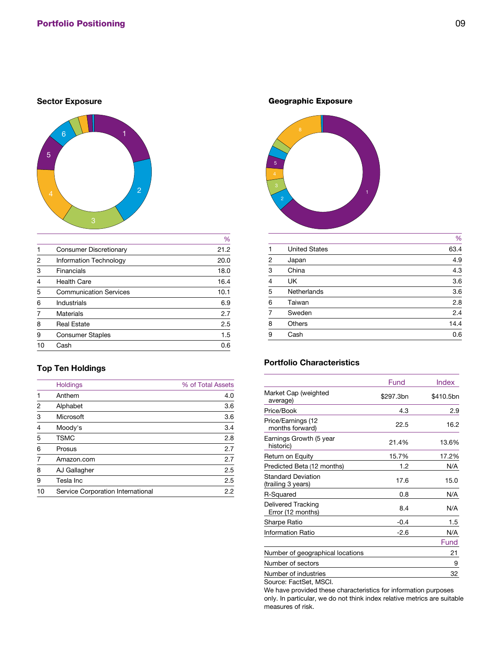# **Sector Exposure**



|                |                               | $\gamma_0$ |
|----------------|-------------------------------|------------|
| 1              | <b>Consumer Discretionary</b> | 21.2       |
| 2              | <b>Information Technology</b> | 20.0       |
| 3              | <b>Financials</b>             | 18.0       |
| $\overline{4}$ | <b>Health Care</b>            | 16.4       |
| 5              | <b>Communication Services</b> | 10.1       |
| 6              | <b>Industrials</b>            | 6.9        |
|                | <b>Materials</b>              | 2.7        |
| 8              | <b>Real Estate</b>            | 2.5        |
| 9              | <b>Consumer Staples</b>       | 1.5        |
| 10             | Cash                          | 0.6        |
|                |                               |            |

 $\sim$ 

# **Top Ten Holdings**

|                | <b>Holdings</b>                          | % of Total Assets |
|----------------|------------------------------------------|-------------------|
| 1              | Anthem                                   | 4.0               |
| $\overline{2}$ | Alphabet                                 | 3.6               |
| 3              | Microsoft                                | 3.6               |
| $\overline{4}$ | Moody's                                  | 3.4               |
| 5              | <b>TSMC</b>                              | 2.8               |
| 6              | Prosus                                   | 2.7               |
| 7              | Amazon.com                               | 2.7               |
| 8              | AJ Gallagher                             | 2.5               |
| 9              | Tesla Inc                                | 2.5               |
| 10             | <b>Service Corporation International</b> | 2.2               |

Geographic Exposure



|                |                      | %    |
|----------------|----------------------|------|
| 1              | <b>United States</b> | 63.4 |
| $\overline{2}$ | Japan                | 4.9  |
| 3              | China                | 4.3  |
| $\overline{4}$ | <b>UK</b>            | 3.6  |
| 5              | <b>Netherlands</b>   | 3.6  |
| 6              | Taiwan               | 2.8  |
| 7              | Sweden               | 2.4  |
| 8              | <b>Others</b>        | 14.4 |
| 9              | Cash                 | 0.6  |
|                |                      |      |

# **Portfolio Characteristics**

| Fund      | <b>Index</b> |
|-----------|--------------|
| \$297.3bn | \$410.5bn    |
| 4.3       | 2.9          |
| 22.5      | 16.2         |
| 21.4%     | 13.6%        |
| 15.7%     | 17.2%        |
| 1.2       | N/A          |
| 17.6      | 15.0         |
| 0.8       | N/A          |
| 8.4       | N/A          |
| $-0.4$    | 1.5          |
| $-2.6$    | N/A          |
|           | Fund         |
|           | 21           |
|           | 9            |
|           | 32           |
|           |              |

Source: FactSet, MSCI.

We have provided these characteristics for information purposes only. In particular, we do not think index relative metrics are suitable measures of risk.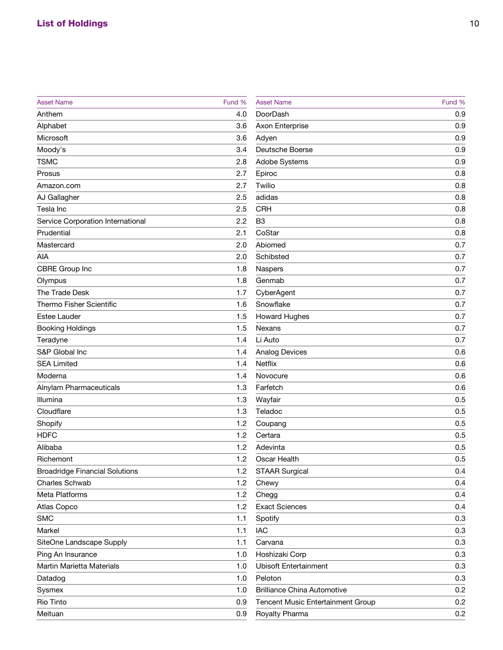| <b>Asset Name</b>                        | Fund % |
|------------------------------------------|--------|
| Anthem                                   | 4.0    |
| Alphabet                                 | 3.6    |
| <b>Microsoft</b>                         | 3.6    |
| Moody's                                  | 3.4    |
| <b>TSMC</b>                              | 2.8    |
| Prosus                                   | 2.7    |
| Amazon.com                               | 2.7    |
| <b>AJ Gallagher</b>                      | 2.5    |
| <b>Tesla Inc</b>                         | 2.5    |
| <b>Service Corporation International</b> | 2.2    |
| Prudential                               | 2.1    |
| Mastercard                               | 2.0    |
| <b>AIA</b>                               | 2.0    |
| <b>CBRE Group Inc</b>                    | 1.8    |
| Olympus                                  | 1.8    |
| <b>The Trade Desk</b>                    | 1.7    |
| <b>Thermo Fisher Scientific</b>          | 1.6    |
| <b>Estee Lauder</b>                      | 1.5    |
| <b>Booking Holdings</b>                  | 1.5    |
| Teradyne                                 | 1.4    |
| <b>S&amp;P Global Inc</b>                | 1.4    |
| <b>SEA Limited</b>                       | 1.4    |
| Moderna                                  | 1.4    |
| <b>Alnylam Pharmaceuticals</b>           | 1.3    |
| <b>Illumina</b>                          | 1.3    |
| Cloudflare                               | 1.3    |
| Shopify                                  | 1.2    |
| <b>HDFC</b>                              | 1.2    |
| Alibaba                                  | 1.2    |
| Richemont                                | 1.2    |
| <b>Broadridge Financial Solutions</b>    | 1.2    |
| <b>Charles Schwab</b>                    | 1.2    |
| <b>Meta Platforms</b>                    | 1.2    |
| <b>Atlas Copco</b>                       | 1.2    |
| <b>SMC</b>                               | 1.1    |
| <b>Markel</b>                            | 1.1    |
| <b>SiteOne Landscape Supply</b>          | 1.1    |
| Ping An Insurance                        | 1.0    |
| <b>Martin Marietta Materials</b>         | 1.0    |
| Datadog                                  | 1.0    |
| <b>Sysmex</b>                            | 1.0    |
| <b>Rio Tinto</b>                         | 0.9    |
| Meituan                                  | 0.9    |

| <b>Asset Name</b>                        | Fund % |
|------------------------------------------|--------|
| <b>DoorDash</b>                          | 0.9    |
| <b>Axon Enterprise</b>                   | 0.9    |
| Adyen                                    | 0.9    |
| <b>Deutsche Boerse</b>                   | 0.9    |
| <b>Adobe Systems</b>                     | 0.9    |
| Epiroc                                   | 0.8    |
| Twilio                                   | 0.8    |
| adidas                                   | 0.8    |
| <b>CRH</b>                               | 0.8    |
| B <sub>3</sub>                           | 0.8    |
| CoStar                                   | 0.8    |
| Abiomed                                  | 0.7    |
| <b>Schibsted</b>                         | 0.7    |
| <b>Naspers</b>                           | 0.7    |
| Genmab                                   | 0.7    |
| CyberAgent                               | 0.7    |
| Snowflake                                | 0.7    |
| <b>Howard Hughes</b>                     | 0.7    |
| <b>Nexans</b>                            | 0.7    |
| Li Auto                                  | 0.7    |
| <b>Analog Devices</b>                    | 0.6    |
| <b>Netflix</b>                           | 0.6    |
| Novocure                                 | 0.6    |
| Farfetch                                 | 0.6    |
| Wayfair                                  | 0.5    |
| Teladoc                                  | 0.5    |
| Coupang                                  | 0.5    |
| Certara                                  | 0.5    |
| Adevinta                                 | 0.5    |
| <b>Oscar Health</b>                      | 0.5    |
| <b>STAAR Surgical</b>                    | 0.4    |
| Chewy                                    | 0.4    |
| Chegg                                    | 0.4    |
| <b>Exact Sciences</b>                    | 0.4    |
| Spotify                                  | 0.3    |
| <b>IAC</b>                               | 0.3    |
| Carvana                                  | 0.3    |
| Hoshizaki Corp                           | 0.3    |
| <b>Ubisoft Entertainment</b>             | 0.3    |
| Peloton                                  | 0.3    |
| <b>Brilliance China Automotive</b>       | 0.2    |
| <b>Tencent Music Entertainment Group</b> | 0.2    |
| <b>Royalty Pharma</b>                    | 0.2    |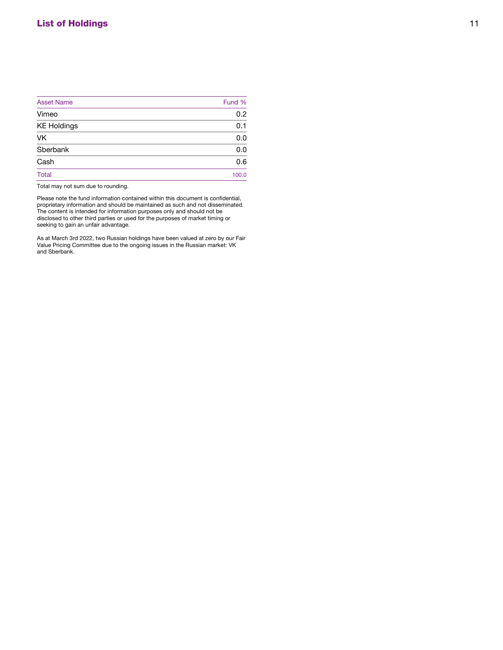| <b>Asset Name</b>  | Fund % |
|--------------------|--------|
| Vimeo              | 0.2    |
| <b>KE Holdings</b> | 0.1    |
| <b>VK</b>          | 0.0    |
| Sberbank           | 0.0    |
| Cash               | 0.6    |
| <b>Total</b>       | 100.0  |
|                    |        |

Total may not sum due to rounding.

Please note the fund information contained within this document is confidential, proprietary information and should be maintained as such and not disseminated. The content is intended for information purposes only and should not be disclosed to other third parties or used for the purposes of market timing or seeking to gain an unfair advantage.

As at March 3rd 2022, two Russian holdings have been valued at zero by our Fair Value Pricing Committee due to the ongoing issues in the Russian market: VK and Sberbank.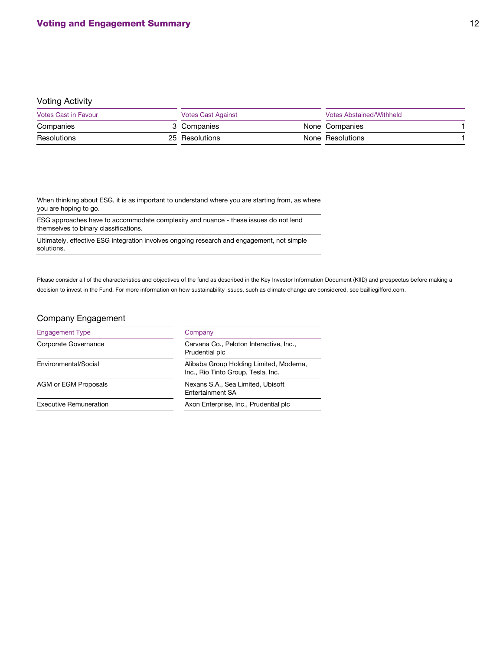### Voting Activity

| <b>Votes Cast in Favour</b> |  | <b>Votes Cast Against</b> | Votes Abstained/Withheld |                  |  |
|-----------------------------|--|---------------------------|--------------------------|------------------|--|
| Companies                   |  | 3 Companies               |                          | None Companies   |  |
| Resolutions                 |  | 25 Resolutions            |                          | None Resolutions |  |

When thinking about ESG, it is as important to understand where you are starting from, as where you are hoping to go.

ESG approaches have to accommodate complexity and nuance - these issues do not lend themselves to binary classifications.

Ultimately, effective ESG integration involves ongoing research and engagement, not simple solutions.

Please consider all of the characteristics and objectives of the fund as described in the Key Investor Information Document (KIID) and prospectus before making a decision to invest in the Fund. For more information on how sustainability issues, such as climate change are considered, see bailliegifford.com.

## Company Engagement

| <b>Engagement Type</b>        | Company                                                                       |
|-------------------------------|-------------------------------------------------------------------------------|
| <b>Corporate Governance</b>   | Carvana Co., Peloton Interactive, Inc.,<br>Prudential plc                     |
| Environmental/Social          | Alibaba Group Holding Limited, Moderna,<br>Inc., Rio Tinto Group, Tesla, Inc. |
| <b>AGM or EGM Proposals</b>   | Nexans S.A., Sea Limited, Ubisoft<br><b>Entertainment SA</b>                  |
| <b>Executive Remuneration</b> | Axon Enterprise, Inc., Prudential plc.                                        |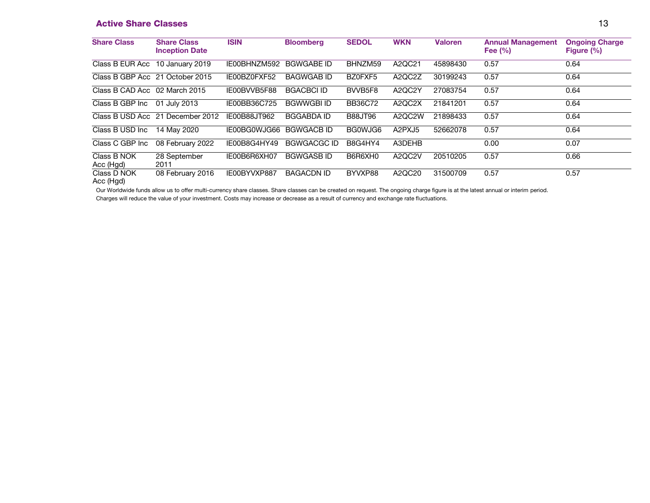## **Active Share Classes 13**

| <b>Share Class</b>              | <b>Share Class</b><br><b>Inception Date</b> | <b>ISIN</b>  | <b>Bloomberg</b>   | <b>SEDOL</b>        | <b>WKN</b>                      | <b>Valoren</b> | <b>Annual Management</b><br>Fee $(\% )$ | <b>Ongoing Charge</b><br>Figure $(\% )$ |
|---------------------------------|---------------------------------------------|--------------|--------------------|---------------------|---------------------------------|----------------|-----------------------------------------|-----------------------------------------|
| Class B EUR Acc 10 January 2019 |                                             | IE00BHNZM592 | <b>BGWGABE ID</b>  | BHNZM59             | A2QC21                          | 45898430       | 0.57                                    | 0.64                                    |
| Class B GBP Acc 21 October 2015 |                                             | IE00BZ0FXF52 | <b>BAGWGAB ID</b>  | BZ0FXF5             | A2QC2Z                          | 30199243       | 0.57                                    | 0.64                                    |
| Class B CAD Acc 02 March 2015   |                                             | IE00BVVB5F88 | <b>BGACBCI ID</b>  | BVVB <sub>5F8</sub> | A2QC2Y                          | 27083754       | 0.57                                    | 0.64                                    |
| Class B GBP Inc                 | 01 July 2013                                | IE00BB36C725 | <b>BGWWGBI ID</b>  | <b>BB36C72</b>      | A2QC2X                          | 21841201       | 0.57                                    | 0.64                                    |
|                                 | Class B USD Acc 21 December 2012            | IE00B88JT962 | <b>BGGABDA ID</b>  | <b>B88JT96</b>      | A2QC2W                          | 21898433       | 0.57                                    | 0.64                                    |
| Class B USD Inc.                | 14 May 2020                                 | IE00BG0WJG66 | <b>BGWGACB ID</b>  | BG0WJG6             | A <sub>2</sub> PXJ <sub>5</sub> | 52662078       | 0.57                                    | 0.64                                    |
| Class C GBP Inc                 | 08 February 2022                            | IE00B8G4HY49 | <b>BGWGACGC ID</b> | B8G4HY4             | A3DEHB                          |                | 0.00                                    | 0.07                                    |
| Class B NOK<br>Acc (Hgd)        | 28 September<br>2011                        | IE00B6R6XH07 | <b>BGWGASBID</b>   | B6R6XH0             | A2QC2V                          | 20510205       | 0.57                                    | 0.66                                    |
| Class D NOK<br>Acc (Hgd)        | 08 February 2016                            | IE00BYVXP887 | <b>BAGACDN ID</b>  | BYVXP88             | A2QC20                          | 31500709       | 0.57                                    | 0.57                                    |

Our Worldwide funds allow us to offer multi-currency share classes. Share classes can be created on request. The ongoing charge figure is at the latest annual or interim period.

Charges will reduce the value of your investment. Costs may increase or decrease as a result of currency and exchange rate fluctuations.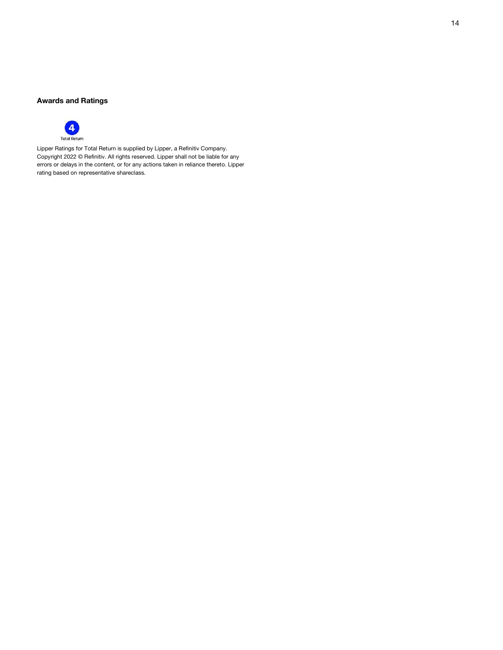### **Awards and Ratings**



Lipper Ratings for Total Return is supplied by Lipper, a Refinitiv Company. Copyright 2022 © Refinitiv. All rights reserved. Lipper shall not be liable for any errors or delays in the content, or for any actions taken in reliance thereto. Lipper rating based on representative shareclass.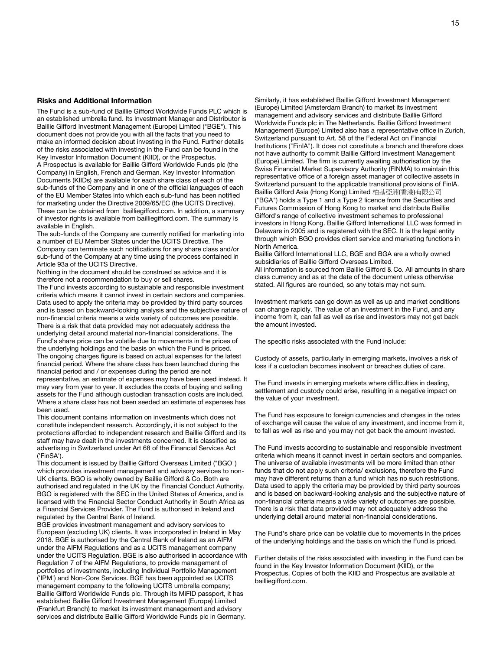#### **Risks and Additional Information**

The Fund is a sub-fund of Baillie Gifford Worldwide Funds PLC which is an established umbrella fund. Its Investment Manager and Distributor is Baillie Gifford Investment Management (Europe) Limited ("BGE"). This document does not provide you with all the facts that you need to make an informed decision about investing in the Fund. Further details of the risks associated with investing in the Fund can be found in the Key Investor Information Document (KIID), or the Prospectus. A Prospectus is available for Baillie Gifford Worldwide Funds plc (the Company) in English, French and German. Key Investor Information Documents (KIIDs) are available for each share class of each of the sub-funds of the Company and in one of the official languages of each of the EU Member States into which each sub-fund has been notified for marketing under the Directive 2009/65/EC (the UCITS Directive). These can be obtained from bailliegifford.com. In addition, a summary of investor rights is available from bailliegifford.com. The summary is available in English.

The sub-funds of the Company are currently notified for marketing into a number of EU Member States under the UCITS Directive. The Company can terminate such notifications for any share class and/or sub-fund of the Company at any time using the process contained in Article 93a of the UCITS Directive.

Nothing in the document should be construed as advice and it is therefore not a recommendation to buy or sell shares.

The Fund invests according to sustainable and responsible investment criteria which means it cannot invest in certain sectors and companies. Data used to apply the criteria may be provided by third party sources and is based on backward-looking analysis and the subjective nature of non-financial criteria means a wide variety of outcomes are possible. There is a risk that data provided may not adequately address the underlying detail around material non-financial considerations. The Fund's share price can be volatile due to movements in the prices of the underlying holdings and the basis on which the Fund is priced. The ongoing charges figure is based on actual expenses for the latest financial period. Where the share class has been launched during the financial period and / or expenses during the period are not representative, an estimate of expenses may have been used instead. It may vary from year to year. It excludes the costs of buying and selling assets for the Fund although custodian transaction costs are included. Where a share class has not been seeded an estimate of expenses has been used.

This document contains information on investments which does not constitute independent research. Accordingly, it is not subject to the protections afforded to independent research and Baillie Gifford and its staff may have dealt in the investments concerned. It is classified as advertising in Switzerland under Art 68 of the Financial Services Act ('FinSA').

This document is issued by Baillie Gifford Overseas Limited ("BGO") which provides investment management and advisory services to non-UK clients. BGO is wholly owned by Baillie Gifford & Co. Both are authorised and regulated in the UK by the Financial Conduct Authority. BGO is registered with the SEC in the United States of America, and is licensed with the Financial Sector Conduct Authority in South Africa as a Financial Services Provider. The Fund is authorised in Ireland and regulated by the Central Bank of Ireland.

BGE provides investment management and advisory services to European (excluding UK) clients. It was incorporated in Ireland in May 2018. BGE is authorised by the Central Bank of Ireland as an AIFM under the AIFM Regulations and as a UCITS management company under the UCITS Regulation. BGE is also authorised in accordance with Regulation 7 of the AIFM Regulations, to provide management of portfolios of investments, including Individual Portfolio Management ('IPM') and Non-Core Services. BGE has been appointed as UCITS management company to the following UCITS umbrella company; Baillie Gifford Worldwide Funds plc. Through its MiFID passport, it has established Baillie Gifford Investment Management (Europe) Limited (Frankfurt Branch) to market its investment management and advisory services and distribute Baillie Gifford Worldwide Funds plc in Germany.

Similarly, it has established Baillie Gifford Investment Management (Europe) Limited (Amsterdam Branch) to market its investment management and advisory services and distribute Baillie Gifford Worldwide Funds plc in The Netherlands. Baillie Gifford Investment Management (Europe) Limited also has a representative office in Zurich, Switzerland pursuant to Art. 58 of the Federal Act on Financial Institutions ("FinIA"). It does not constitute a branch and therefore does not have authority to commit Baillie Gifford Investment Management (Europe) Limited. The firm is currently awaiting authorisation by the Swiss Financial Market Supervisory Authority (FINMA) to maintain this representative office of a foreign asset manager of collective assets in Switzerland pursuant to the applicable transitional provisions of FinIA. Baillie Gifford Asia (Hong Kong) Limited 柏基亞洲(香港)有限公司

("BGA") holds a Type 1 and a Type 2 licence from the Securities and Futures Commission of Hong Kong to market and distribute Baillie Gifford's range of collective investment schemes to professional investors in Hong Kong. Baillie Gifford International LLC was formed in Delaware in 2005 and is registered with the SEC. It is the legal entity through which BGO provides client service and marketing functions in North America.

Baillie Gifford International LLC, BGE and BGA are a wholly owned subsidiaries of Baillie Gifford Overseas Limited.

All information is sourced from Baillie Gifford & Co. All amounts in share class currency and as at the date of the document unless otherwise stated. All figures are rounded, so any totals may not sum.

Investment markets can go down as well as up and market conditions can change rapidly. The value of an investment in the Fund, and any income from it, can fall as well as rise and investors may not get back the amount invested.

The specific risks associated with the Fund include:

Custody of assets, particularly in emerging markets, involves a risk of loss if a custodian becomes insolvent or breaches duties of care.

The Fund invests in emerging markets where difficulties in dealing, settlement and custody could arise, resulting in a negative impact on the value of your investment.

The Fund has exposure to foreign currencies and changes in the rates of exchange will cause the value of any investment, and income from it, to fall as well as rise and you may not get back the amount invested.

The Fund invests according to sustainable and responsible investment criteria which means it cannot invest in certain sectors and companies. The universe of available investments will be more limited than other funds that do not apply such criteria/ exclusions, therefore the Fund may have different returns than a fund which has no such restrictions. Data used to apply the criteria may be provided by third party sources and is based on backward-looking analysis and the subjective nature of non-financial criteria means a wide variety of outcomes are possible. There is a risk that data provided may not adequately address the underlying detail around material non-financial considerations.

The Fund's share price can be volatile due to movements in the prices of the underlying holdings and the basis on which the Fund is priced.

Further details of the risks associated with investing in the Fund can be found in the Key Investor Information Document (KIID), or the Prospectus. Copies of both the KIID and Prospectus are available at bailliegifford.com.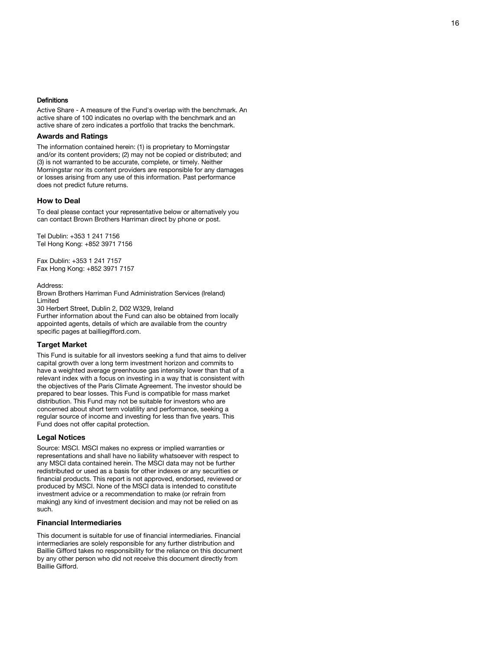#### **Definitions**

Active Share - A measure of the Fund's overlap with the benchmark. An active share of 100 indicates no overlap with the benchmark and an active share of zero indicates a portfolio that tracks the benchmark.

#### **Awards and Ratings**

The information contained herein: (1) is proprietary to Morningstar and/or its content providers; (2) may not be copied or distributed; and (3) is not warranted to be accurate, complete, or timely. Neither Morningstar nor its content providers are responsible for any damages or losses arising from any use of this information. Past performance does not predict future returns.

#### **How to Deal**

To deal please contact your representative below or alternatively you can contact Brown Brothers Harriman direct by phone or post.

Tel Dublin: +353 1 241 7156 Tel Hong Kong: +852 3971 7156

Fax Dublin: +353 1 241 7157 Fax Hong Kong: +852 3971 7157

#### Address:

Brown Brothers Harriman Fund Administration Services (Ireland) Limited

30 Herbert Street, Dublin 2, D02 W329, Ireland

Further information about the Fund can also be obtained from locally appointed agents, details of which are available from the country specific pages at bailliegifford.com.

#### **Target Market**

This Fund is suitable for all investors seeking a fund that aims to deliver capital growth over a long term investment horizon and commits to have a weighted average greenhouse gas intensity lower than that of a relevant index with a focus on investing in a way that is consistent with the objectives of the Paris Climate Agreement. The investor should be prepared to bear losses. This Fund is compatible for mass market distribution. This Fund may not be suitable for investors who are concerned about short term volatility and performance, seeking a regular source of income and investing for less than five years. This Fund does not offer capital protection.

#### **Legal Notices**

Source: MSCI. MSCI makes no express or implied warranties or representations and shall have no liability whatsoever with respect to any MSCI data contained herein. The MSCI data may not be further redistributed or used as a basis for other indexes or any securities or financial products. This report is not approved, endorsed, reviewed or produced by MSCI. None of the MSCI data is intended to constitute investment advice or a recommendation to make (or refrain from making) any kind of investment decision and may not be relied on as such.

#### **Financial Intermediaries**

This document is suitable for use of financial intermediaries. Financial intermediaries are solely responsible for any further distribution and Baillie Gifford takes no responsibility for the reliance on this document by any other person who did not receive this document directly from Baillie Gifford.